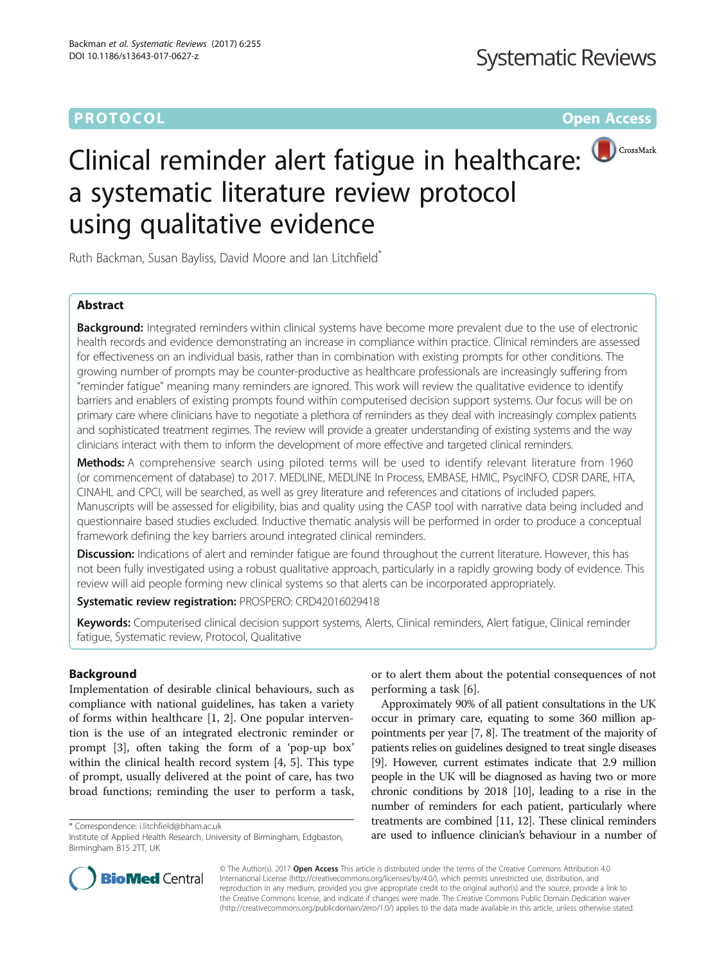# **PROTOCOL CONSUMING THE OPEN ACCESS**



# Clinical reminder alert fatigue in healthcare: a systematic literature review protocol using qualitative evidence

Ruth Backman, Susan Bayliss, David Moore and Ian Litchfield<sup>\*</sup>

# Abstract

**Background:** Integrated reminders within clinical systems have become more prevalent due to the use of electronic health records and evidence demonstrating an increase in compliance within practice. Clinical reminders are assessed for effectiveness on an individual basis, rather than in combination with existing prompts for other conditions. The growing number of prompts may be counter-productive as healthcare professionals are increasingly suffering from "reminder fatigue" meaning many reminders are ignored. This work will review the qualitative evidence to identify barriers and enablers of existing prompts found within computerised decision support systems. Our focus will be on primary care where clinicians have to negotiate a plethora of reminders as they deal with increasingly complex patients and sophisticated treatment regimes. The review will provide a greater understanding of existing systems and the way clinicians interact with them to inform the development of more effective and targeted clinical reminders.

Methods: A comprehensive search using piloted terms will be used to identify relevant literature from 1960 (or commencement of database) to 2017. MEDLINE, MEDLINE In Process, EMBASE, HMIC, PsycINFO, CDSR DARE, HTA, CINAHL and CPCI, will be searched, as well as grey literature and references and citations of included papers. Manuscripts will be assessed for eligibility, bias and quality using the CASP tool with narrative data being included and questionnaire based studies excluded. Inductive thematic analysis will be performed in order to produce a conceptual framework defining the key barriers around integrated clinical reminders.

Discussion: Indications of alert and reminder fatigue are found throughout the current literature. However, this has not been fully investigated using a robust qualitative approach, particularly in a rapidly growing body of evidence. This review will aid people forming new clinical systems so that alerts can be incorporated appropriately.

Systematic review registration: PROSPERO: [CRD42016029418](https://www.crd.york.ac.uk/prospero/display_record.php?RecordID=29418)

Keywords: Computerised clinical decision support systems, Alerts, Clinical reminders, Alert fatigue, Clinical reminder fatigue, Systematic review, Protocol, Qualitative

# Background

Implementation of desirable clinical behaviours, such as compliance with national guidelines, has taken a variety of forms within healthcare [\[1](#page-4-0), [2\]](#page-4-0). One popular intervention is the use of an integrated electronic reminder or prompt [[3\]](#page-4-0), often taking the form of a 'pop-up box' within the clinical health record system [[4, 5](#page-4-0)]. This type of prompt, usually delivered at the point of care, has two broad functions; reminding the user to perform a task,

or to alert them about the potential consequences of not performing a task [\[6](#page-4-0)].

Approximately 90% of all patient consultations in the UK occur in primary care, equating to some 360 million appointments per year [\[7](#page-4-0), [8](#page-4-0)]. The treatment of the majority of patients relies on guidelines designed to treat single diseases [[9](#page-4-0)]. However, current estimates indicate that 2.9 million people in the UK will be diagnosed as having two or more chronic conditions by 2018 [\[10](#page-4-0)], leading to a rise in the number of reminders for each patient, particularly where treatments are combined [[11](#page-4-0), [12\]](#page-4-0). These clinical reminders correspondence: [i.litchfield@bham.ac.uk](mailto:i.litchfield@bham.ac.uk)<br>Institute of Applied Health Research. University of Birmingham. Edgbaston. **are used to influence clinician's behaviour in a number of** 



© The Author(s). 2017 **Open Access** This article is distributed under the terms of the Creative Commons Attribution 4.0 International License [\(http://creativecommons.org/licenses/by/4.0/](http://creativecommons.org/licenses/by/4.0/)), which permits unrestricted use, distribution, and reproduction in any medium, provided you give appropriate credit to the original author(s) and the source, provide a link to the Creative Commons license, and indicate if changes were made. The Creative Commons Public Domain Dedication waiver [\(http://creativecommons.org/publicdomain/zero/1.0/](http://creativecommons.org/publicdomain/zero/1.0/)) applies to the data made available in this article, unless otherwise stated.

Institute of Applied Health Research, University of Birmingham, Edgbaston, Birmingham B15 2TT, UK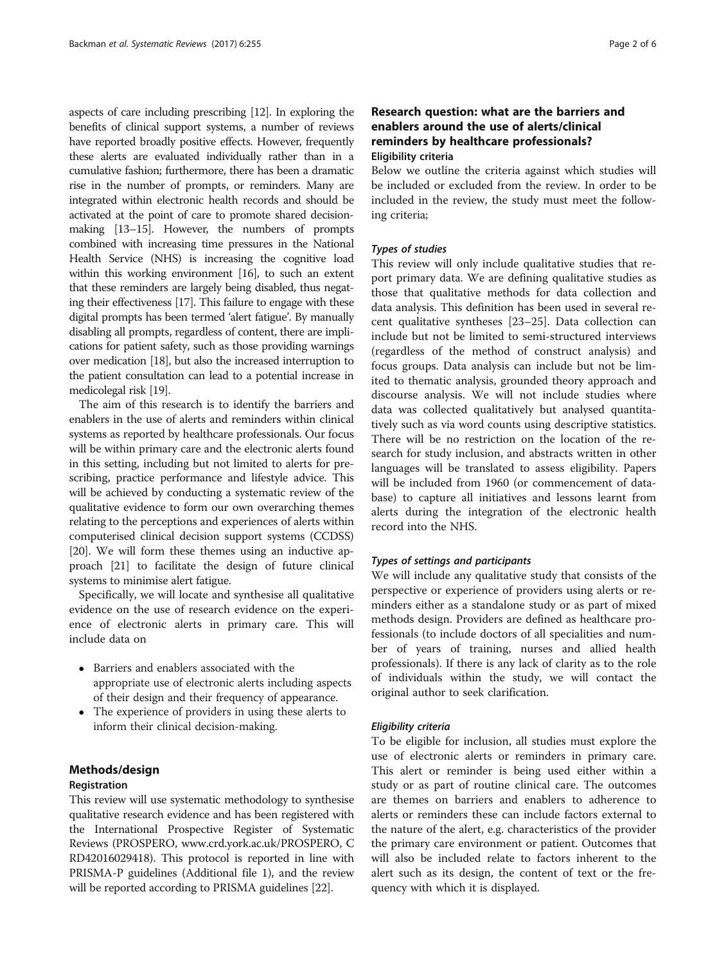aspects of care including prescribing [\[12\]](#page-4-0). In exploring the benefits of clinical support systems, a number of reviews have reported broadly positive effects. However, frequently these alerts are evaluated individually rather than in a cumulative fashion; furthermore, there has been a dramatic rise in the number of prompts, or reminders. Many are integrated within electronic health records and should be activated at the point of care to promote shared decisionmaking [[13](#page-4-0)–[15](#page-4-0)]. However, the numbers of prompts combined with increasing time pressures in the National Health Service (NHS) is increasing the cognitive load within this working environment [\[16\]](#page-4-0), to such an extent that these reminders are largely being disabled, thus negating their effectiveness [\[17\]](#page-4-0). This failure to engage with these digital prompts has been termed 'alert fatigue'. By manually disabling all prompts, regardless of content, there are implications for patient safety, such as those providing warnings over medication [\[18](#page-4-0)], but also the increased interruption to the patient consultation can lead to a potential increase in medicolegal risk [[19\]](#page-4-0).

The aim of this research is to identify the barriers and enablers in the use of alerts and reminders within clinical systems as reported by healthcare professionals. Our focus will be within primary care and the electronic alerts found in this setting, including but not limited to alerts for prescribing, practice performance and lifestyle advice. This will be achieved by conducting a systematic review of the qualitative evidence to form our own overarching themes relating to the perceptions and experiences of alerts within computerised clinical decision support systems (CCDSS) [[20](#page-4-0)]. We will form these themes using an inductive approach [[21](#page-4-0)] to facilitate the design of future clinical systems to minimise alert fatigue.

Specifically, we will locate and synthesise all qualitative evidence on the use of research evidence on the experience of electronic alerts in primary care. This will include data on

- Barriers and enablers associated with the appropriate use of electronic alerts including aspects of their design and their frequency of appearance.
- The experience of providers in using these alerts to inform their clinical decision-making.

## Methods/design

#### Registration

This review will use systematic methodology to synthesise qualitative research evidence and has been registered with the International Prospective Register of Systematic Reviews (PROSPERO, [www.crd.york.ac.uk/PROSPERO](http://www.crd.york.ac.uk/PROSPERO), C RD42016029418). This protocol is reported in line with PRISMA-P guidelines (Additional file [1\)](#page-3-0), and the review will be reported according to PRISMA guidelines [[22](#page-4-0)].

# Research question: what are the barriers and enablers around the use of alerts/clinical reminders by healthcare professionals? Eligibility criteria

Below we outline the criteria against which studies will be included or excluded from the review. In order to be included in the review, the study must meet the following criteria;

## Types of studies

This review will only include qualitative studies that report primary data. We are defining qualitative studies as those that qualitative methods for data collection and data analysis. This definition has been used in several recent qualitative syntheses [\[23](#page-4-0)–[25\]](#page-4-0). Data collection can include but not be limited to semi-structured interviews (regardless of the method of construct analysis) and focus groups. Data analysis can include but not be limited to thematic analysis, grounded theory approach and discourse analysis. We will not include studies where data was collected qualitatively but analysed quantitatively such as via word counts using descriptive statistics. There will be no restriction on the location of the research for study inclusion, and abstracts written in other languages will be translated to assess eligibility. Papers will be included from 1960 (or commencement of database) to capture all initiatives and lessons learnt from alerts during the integration of the electronic health record into the NHS.

#### Types of settings and participants

We will include any qualitative study that consists of the perspective or experience of providers using alerts or reminders either as a standalone study or as part of mixed methods design. Providers are defined as healthcare professionals (to include doctors of all specialities and number of years of training, nurses and allied health professionals). If there is any lack of clarity as to the role of individuals within the study, we will contact the original author to seek clarification.

### Eligibility criteria

To be eligible for inclusion, all studies must explore the use of electronic alerts or reminders in primary care. This alert or reminder is being used either within a study or as part of routine clinical care. The outcomes are themes on barriers and enablers to adherence to alerts or reminders these can include factors external to the nature of the alert, e.g. characteristics of the provider the primary care environment or patient. Outcomes that will also be included relate to factors inherent to the alert such as its design, the content of text or the frequency with which it is displayed.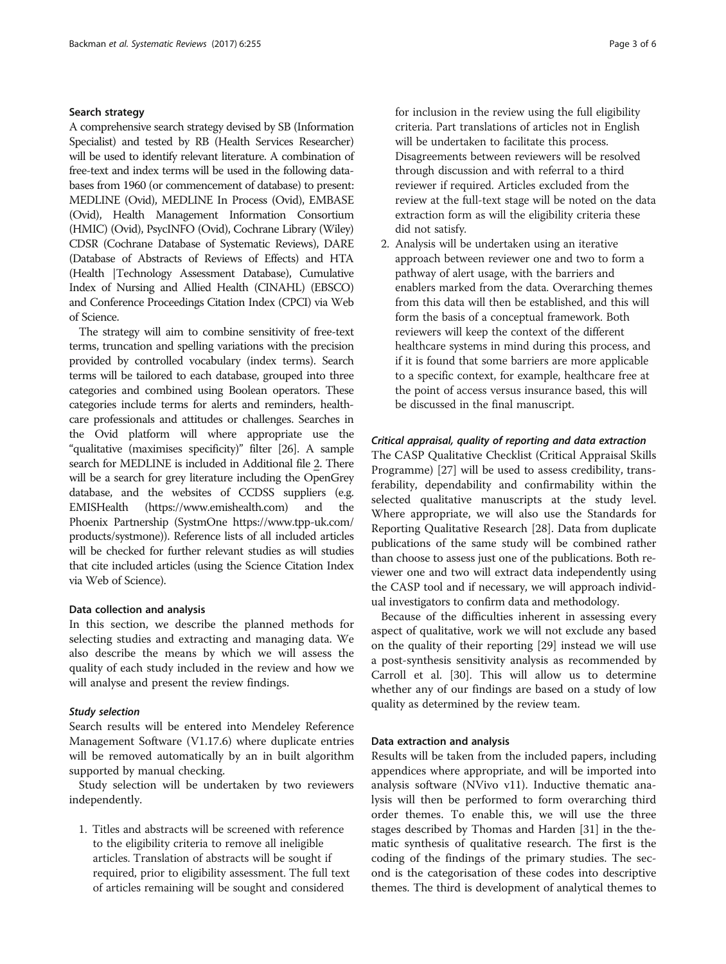### Search strategy

A comprehensive search strategy devised by SB (Information Specialist) and tested by RB (Health Services Researcher) will be used to identify relevant literature. A combination of free-text and index terms will be used in the following databases from 1960 (or commencement of database) to present: MEDLINE (Ovid), MEDLINE In Process (Ovid), EMBASE (Ovid), Health Management Information Consortium (HMIC) (Ovid), PsycINFO (Ovid), Cochrane Library (Wiley) CDSR (Cochrane Database of Systematic Reviews), DARE (Database of Abstracts of Reviews of Effects) and HTA (Health |Technology Assessment Database), Cumulative Index of Nursing and Allied Health (CINAHL) (EBSCO) and Conference Proceedings Citation Index (CPCI) via Web of Science.

The strategy will aim to combine sensitivity of free-text terms, truncation and spelling variations with the precision provided by controlled vocabulary (index terms). Search terms will be tailored to each database, grouped into three categories and combined using Boolean operators. These categories include terms for alerts and reminders, healthcare professionals and attitudes or challenges. Searches in the Ovid platform will where appropriate use the "qualitative (maximises specificity)" filter [\[26\]](#page-4-0). A sample search for MEDLINE is included in Additional file [2](#page-3-0). There will be a search for grey literature including the OpenGrey database, and the websites of CCDSS suppliers (e.g. EMISHealth ([https://www.emishealth.com\)](https://www.emishealth.com) and the Phoenix Partnership (SystmOne [https://www.tpp-uk.com/](https://www.tpp-uk.com/products/systmone) [products/systmone](https://www.tpp-uk.com/products/systmone))). Reference lists of all included articles will be checked for further relevant studies as will studies that cite included articles (using the Science Citation Index via Web of Science).

#### Data collection and analysis

In this section, we describe the planned methods for selecting studies and extracting and managing data. We also describe the means by which we will assess the quality of each study included in the review and how we will analyse and present the review findings.

### Study selection

Search results will be entered into Mendeley Reference Management Software (V1.17.6) where duplicate entries will be removed automatically by an in built algorithm supported by manual checking.

Study selection will be undertaken by two reviewers independently.

1. Titles and abstracts will be screened with reference to the eligibility criteria to remove all ineligible articles. Translation of abstracts will be sought if required, prior to eligibility assessment. The full text of articles remaining will be sought and considered

for inclusion in the review using the full eligibility criteria. Part translations of articles not in English will be undertaken to facilitate this process. Disagreements between reviewers will be resolved through discussion and with referral to a third reviewer if required. Articles excluded from the review at the full-text stage will be noted on the data extraction form as will the eligibility criteria these did not satisfy.

2. Analysis will be undertaken using an iterative approach between reviewer one and two to form a pathway of alert usage, with the barriers and enablers marked from the data. Overarching themes from this data will then be established, and this will form the basis of a conceptual framework. Both reviewers will keep the context of the different healthcare systems in mind during this process, and if it is found that some barriers are more applicable to a specific context, for example, healthcare free at the point of access versus insurance based, this will be discussed in the final manuscript.

## Critical appraisal, quality of reporting and data extraction

The CASP Qualitative Checklist (Critical Appraisal Skills Programme) [\[27\]](#page-4-0) will be used to assess credibility, transferability, dependability and confirmability within the selected qualitative manuscripts at the study level. Where appropriate, we will also use the Standards for Reporting Qualitative Research [\[28](#page-4-0)]. Data from duplicate publications of the same study will be combined rather than choose to assess just one of the publications. Both reviewer one and two will extract data independently using the CASP tool and if necessary, we will approach individual investigators to confirm data and methodology.

Because of the difficulties inherent in assessing every aspect of qualitative, work we will not exclude any based on the quality of their reporting [[29\]](#page-4-0) instead we will use a post-synthesis sensitivity analysis as recommended by Carroll et al. [\[30](#page-4-0)]. This will allow us to determine whether any of our findings are based on a study of low quality as determined by the review team.

#### Data extraction and analysis

Results will be taken from the included papers, including appendices where appropriate, and will be imported into analysis software (NVivo v11). Inductive thematic analysis will then be performed to form overarching third order themes. To enable this, we will use the three stages described by Thomas and Harden [[31](#page-4-0)] in the thematic synthesis of qualitative research. The first is the coding of the findings of the primary studies. The second is the categorisation of these codes into descriptive themes. The third is development of analytical themes to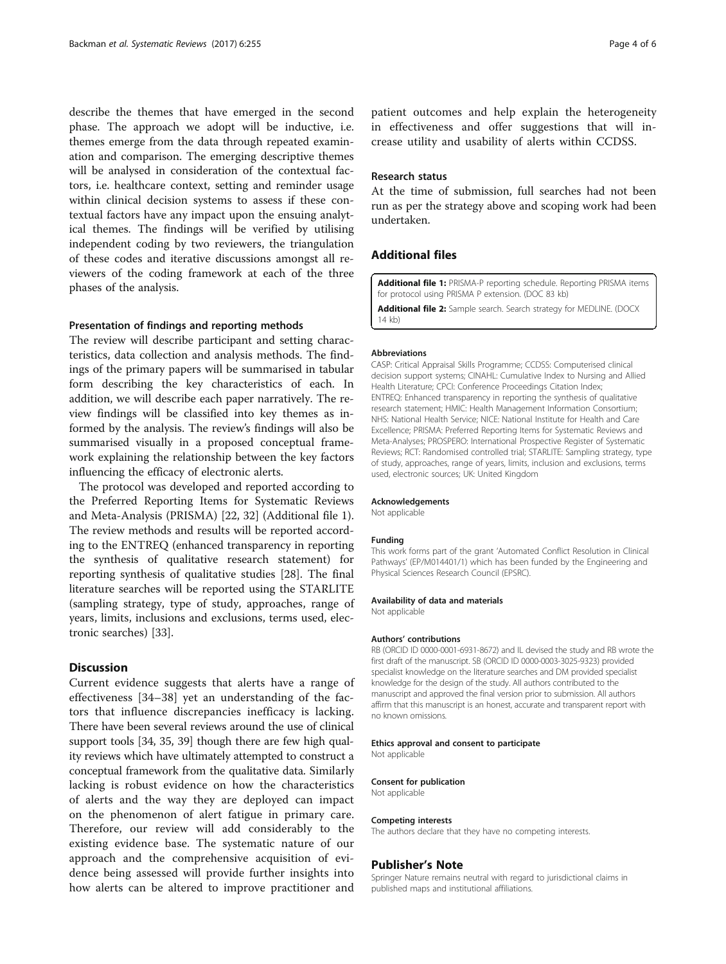<span id="page-3-0"></span>describe the themes that have emerged in the second phase. The approach we adopt will be inductive, i.e. themes emerge from the data through repeated examination and comparison. The emerging descriptive themes will be analysed in consideration of the contextual factors, i.e. healthcare context, setting and reminder usage within clinical decision systems to assess if these contextual factors have any impact upon the ensuing analytical themes. The findings will be verified by utilising independent coding by two reviewers, the triangulation of these codes and iterative discussions amongst all reviewers of the coding framework at each of the three phases of the analysis.

## Presentation of findings and reporting methods

The review will describe participant and setting characteristics, data collection and analysis methods. The findings of the primary papers will be summarised in tabular form describing the key characteristics of each. In addition, we will describe each paper narratively. The review findings will be classified into key themes as informed by the analysis. The review's findings will also be summarised visually in a proposed conceptual framework explaining the relationship between the key factors influencing the efficacy of electronic alerts.

The protocol was developed and reported according to the Preferred Reporting Items for Systematic Reviews and Meta-Analysis (PRISMA) [[22, 32\]](#page-4-0) (Additional file 1). The review methods and results will be reported according to the ENTREQ (enhanced transparency in reporting the synthesis of qualitative research statement) for reporting synthesis of qualitative studies [\[28](#page-4-0)]. The final literature searches will be reported using the STARLITE (sampling strategy, type of study, approaches, range of years, limits, inclusions and exclusions, terms used, electronic searches) [\[33](#page-4-0)].

## **Discussion**

Current evidence suggests that alerts have a range of effectiveness [[34](#page-4-0)–[38](#page-5-0)] yet an understanding of the factors that influence discrepancies inefficacy is lacking. There have been several reviews around the use of clinical support tools [\[34, 35,](#page-4-0) [39](#page-5-0)] though there are few high quality reviews which have ultimately attempted to construct a conceptual framework from the qualitative data. Similarly lacking is robust evidence on how the characteristics of alerts and the way they are deployed can impact on the phenomenon of alert fatigue in primary care. Therefore, our review will add considerably to the existing evidence base. The systematic nature of our approach and the comprehensive acquisition of evidence being assessed will provide further insights into how alerts can be altered to improve practitioner and

patient outcomes and help explain the heterogeneity in effectiveness and offer suggestions that will increase utility and usability of alerts within CCDSS.

#### Research status

At the time of submission, full searches had not been run as per the strategy above and scoping work had been undertaken.

## Additional files

[Additional file 1:](dx.doi.org/10.1186/s13643-017-0627-z) PRISMA-P reporting schedule. Reporting PRISMA items for protocol using PRISMA P extension. (DOC 83 kb)

[Additional file 2:](dx.doi.org/10.1186/s13643-017-0627-z) Sample search. Search strategy for MEDLINE. (DOCX 14 kb)

#### Abbreviations

CASP: Critical Appraisal Skills Programme; CCDSS: Computerised clinical decision support systems; CINAHL: Cumulative Index to Nursing and Allied Health Literature; CPCI: Conference Proceedings Citation Index; ENTREQ: Enhanced transparency in reporting the synthesis of qualitative research statement; HMIC: Health Management Information Consortium; NHS: National Health Service; NICE: National Institute for Health and Care Excellence; PRISMA: Preferred Reporting Items for Systematic Reviews and Meta-Analyses; PROSPERO: International Prospective Register of Systematic Reviews; RCT: Randomised controlled trial; STARLITE: Sampling strategy, type of study, approaches, range of years, limits, inclusion and exclusions, terms used, electronic sources; UK: United Kingdom

#### Acknowledgements

Not applicable

#### Funding

This work forms part of the grant 'Automated Conflict Resolution in Clinical Pathways' (EP/M014401/1) which has been funded by the Engineering and Physical Sciences Research Council (EPSRC).

#### Availability of data and materials

Not applicable

#### Authors' contributions

RB (ORCID ID 0000-0001-6931-8672) and IL devised the study and RB wrote the first draft of the manuscript. SB (ORCID ID 0000-0003-3025-9323) provided specialist knowledge on the literature searches and DM provided specialist knowledge for the design of the study. All authors contributed to the manuscript and approved the final version prior to submission. All authors affirm that this manuscript is an honest, accurate and transparent report with no known omissions.

## Ethics approval and consent to participate

Not applicable

#### Consent for publication

Not applicable

#### Competing interests

The authors declare that they have no competing interests.

#### Publisher's Note

Springer Nature remains neutral with regard to jurisdictional claims in published maps and institutional affiliations.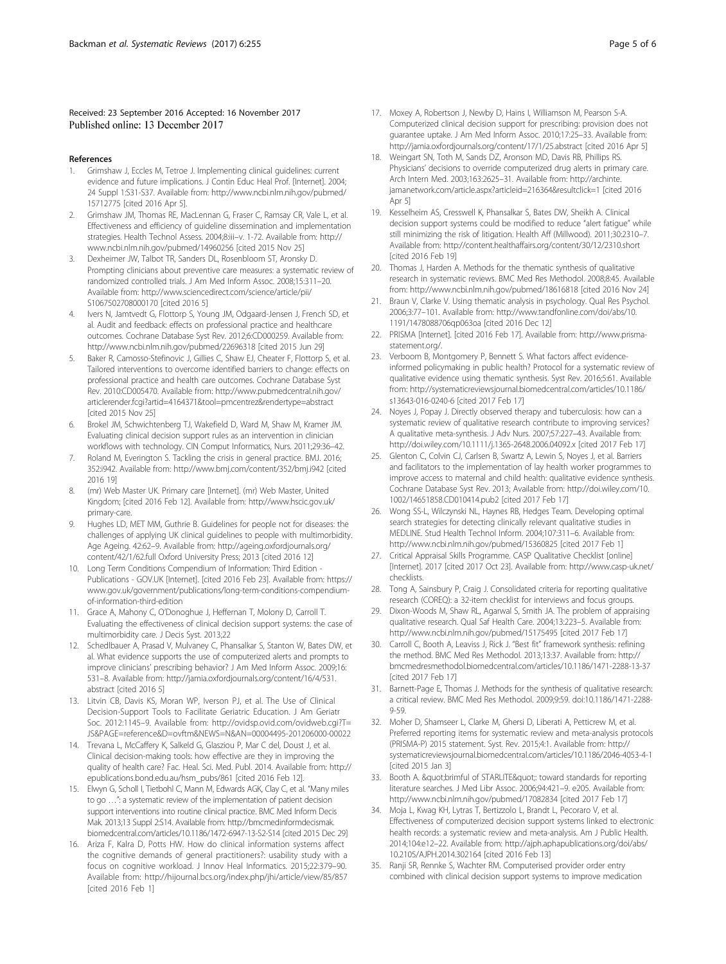<span id="page-4-0"></span>Received: 23 September 2016 Accepted: 16 November 2017 Published online: 13 December 2017

#### References

- 1. Grimshaw J, Eccles M, Tetroe J. Implementing clinical guidelines: current evidence and future implications. J Contin Educ Heal Prof. [Internet]. 2004; 24 Suppl 1:S31-S37. Available from: [http://www.ncbi.nlm.nih.gov/pubmed/](http://www.ncbi.nlm.nih.gov/pubmed/15712775) [15712775](http://www.ncbi.nlm.nih.gov/pubmed/15712775) [cited 2016 Apr 5].
- 2. Grimshaw JM, Thomas RE, MacLennan G, Fraser C, Ramsay CR, Vale L, et al. Effectiveness and efficiency of guideline dissemination and implementation strategies. Health Technol Assess. 2004;8:iii–v. 1-72. Available from: [http://](http://www.ncbi.nlm.nih.gov/pubmed/14960256) [www.ncbi.nlm.nih.gov/pubmed/14960256](http://www.ncbi.nlm.nih.gov/pubmed/14960256) [cited 2015 Nov 25]
- 3. Dexheimer JW, Talbot TR, Sanders DL, Rosenbloom ST, Aronsky D. Prompting clinicians about preventive care measures: a systematic review of randomized controlled trials. J Am Med Inform Assoc. 2008;15:311–20. Available from: [http://www.sciencedirect.com/science/article/pii/](http://www.sciencedirect.com/science/article/pii/S1067502708000170) [S1067502708000170](http://www.sciencedirect.com/science/article/pii/S1067502708000170) [cited 2016 5]
- 4. Ivers N, Jamtvedt G, Flottorp S, Young JM, Odgaard-Jensen J, French SD, et al. Audit and feedback: effects on professional practice and healthcare outcomes. Cochrane Database Syst Rev. 2012;6:CD000259. Available from: <http://www.ncbi.nlm.nih.gov/pubmed/22696318> [cited 2015 Jun 29]
- Baker R, Camosso-Stefinovic J, Gillies C, Shaw EJ, Cheater F, Flottorp S, et al. Tailored interventions to overcome identified barriers to change: effects on professional practice and health care outcomes. Cochrane Database Syst Rev. 2010:CD005470. Available from: [http://www.pubmedcentral.nih.gov/](http://www.pubmedcentral.nih.gov/articlerender.fcgi?artid=4164371&tool=pmcentrez&rendertype=abstract) [articlerender.fcgi?artid=4164371&tool=pmcentrez&rendertype=abstract](http://www.pubmedcentral.nih.gov/articlerender.fcgi?artid=4164371&tool=pmcentrez&rendertype=abstract) [cited 2015 Nov 25]
- 6. Brokel JM, Schwichtenberg TJ, Wakefield D, Ward M, Shaw M, Kramer JM. Evaluating clinical decision support rules as an intervention in clinician workflows with technology. CIN Comput Informatics, Nurs. 2011;29:36–42.
- 7. Roland M, Everington S. Tackling the crisis in general practice. BMJ. 2016; 352:i942. Available from:<http://www.bmj.com/content/352/bmj.i942> [cited 2016 19]
- 8. (mr) Web Master UK. Primary care [Internet]. (mr) Web Master, United Kingdom; [cited 2016 Feb 12]. Available from: [http://www.hscic.gov.uk/](http://www.hscic.gov.uk/primary-care) [primary-care](http://www.hscic.gov.uk/primary-care).
- 9. Hughes LD, MET MM, Guthrie B. Guidelines for people not for diseases: the challenges of applying UK clinical guidelines to people with multimorbidity. Age Ageing. 42:62–9. Available from: [http://ageing.oxfordjournals.org/](http://ageing.oxfordjournals.org/content/42/1/62.full) [content/42/1/62.full](http://ageing.oxfordjournals.org/content/42/1/62.full) Oxford University Press; 2013 [cited 2016 12]
- 10. Long Term Conditions Compendium of Information: Third Edition Publications - GOV.UK [Internet]. [cited 2016 Feb 23]. Available from: [https://](https://www.gov.uk/government/publications/long-term-conditions-compendium-of-information-third-edition) [www.gov.uk/government/publications/long-term-conditions-compendium](https://www.gov.uk/government/publications/long-term-conditions-compendium-of-information-third-edition)[of-information-third-edition](https://www.gov.uk/government/publications/long-term-conditions-compendium-of-information-third-edition)
- 11. Grace A, Mahony C, O'Donoghue J, Heffernan T, Molony D, Carroll T. Evaluating the effectiveness of clinical decision support systems: the case of multimorbidity care. J Decis Syst. 2013;22
- 12. Schedlbauer A, Prasad V, Mulvaney C, Phansalkar S, Stanton W, Bates DW, et al. What evidence supports the use of computerized alerts and prompts to improve clinicians' prescribing behavior? J Am Med Inform Assoc. 2009;16: 531–8. Available from: [http://jamia.oxfordjournals.org/content/16/4/531.](http://jamia.oxfordjournals.org/content/16/4/531.abstract) [abstract](http://jamia.oxfordjournals.org/content/16/4/531.abstract) [cited 2016 5]
- 13. Litvin CB, Davis KS, Moran WP, Iverson PJ, et al. The Use of Clinical Decision-Support Tools to Facilitate Geriatric Education. J Am Geriatr Soc. 2012:1145–9. Available from: [http://ovidsp.ovid.com/ovidweb.cgi?T=](http://ovidsp.ovid.com/ovidweb.cgi?T=JS&PAGE=reference&D=ovftm&NEWS=N&AN=00004495-201206000-00022) [JS&PAGE=reference&D=ovftm&NEWS=N&AN=00004495-201206000-00022](http://ovidsp.ovid.com/ovidweb.cgi?T=JS&PAGE=reference&D=ovftm&NEWS=N&AN=00004495-201206000-00022)
- 14. Trevana L, McCaffery K, Salkeld G, Glasziou P, Mar C del, Doust J, et al. Clinical decision-making tools: how effective are they in improving the quality of health care? Fac. Heal. Sci. Med. Publ. 2014. Available from: [http://](http://epublications.bond.edu.au/hsm_pubs/861) [epublications.bond.edu.au/hsm\\_pubs/861](http://epublications.bond.edu.au/hsm_pubs/861) [cited 2016 Feb 12].
- 15. Elwyn G, Scholl I, Tietbohl C, Mann M, Edwards AGK, Clay C, et al. "Many miles to go …": a systematic review of the implementation of patient decision support interventions into routine clinical practice. BMC Med Inform Decis Mak. 2013;13 Suppl 2:S14. Available from: [http://bmcmedinformdecismak.](http://bmcmedinformdecismak.biomedcentral.com/articles/10.1186/1472-6947-13-S2-S14) [biomedcentral.com/articles/10.1186/1472-6947-13-S2-S14](http://bmcmedinformdecismak.biomedcentral.com/articles/10.1186/1472-6947-13-S2-S14) [cited 2015 Dec 29]
- 16. Ariza F, Kalra D, Potts HW. How do clinical information systems affect the cognitive demands of general practitioners?: usability study with a focus on cognitive workload. J Innov Heal Informatics. 2015;22:379–90. Available from:<http://hijournal.bcs.org/index.php/jhi/article/view/85/857> [cited 2016 Feb 1]
- 17. Moxey A, Robertson J, Newby D, Hains I, Williamson M, Pearson S-A. Computerized clinical decision support for prescribing: provision does not guarantee uptake. J Am Med Inform Assoc. 2010;17:25–33. Available from: <http://jamia.oxfordjournals.org/content/17/1/25.abstract> [cited 2016 Apr 5]
- 18. Weingart SN, Toth M, Sands DZ, Aronson MD, Davis RB, Phillips RS. Physicians' decisions to override computerized drug alerts in primary care. Arch Intern Med. 2003;163:2625–31. Available from: [http://archinte.](http://archinte.jamanetwork.com/article.aspx?articleid=216364&resultclick=1) [jamanetwork.com/article.aspx?articleid=216364&resultclick=1](http://archinte.jamanetwork.com/article.aspx?articleid=216364&resultclick=1) [cited 2016 Apr 5]
- 19. Kesselheim AS, Cresswell K, Phansalkar S, Bates DW, Sheikh A. Clinical decision support systems could be modified to reduce "alert fatigue" while still minimizing the risk of litigation. Health Aff (Millwood). 2011;30:2310–7. Available from:<http://content.healthaffairs.org/content/30/12/2310.short> [cited 2016 Feb 19]
- 20. Thomas J, Harden A. Methods for the thematic synthesis of qualitative research in systematic reviews. BMC Med Res Methodol. 2008;8:45. Available from:<http://www.ncbi.nlm.nih.gov/pubmed/18616818> [cited 2016 Nov 24]
- 21. Braun V, Clarke V. Using thematic analysis in psychology. Qual Res Psychol. 2006;3:77–101. Available from: [http://www.tandfonline.com/doi/abs/10.](http://www.tandfonline.com/doi/abs/10.1191/1478088706qp063oa) [1191/1478088706qp063oa](http://www.tandfonline.com/doi/abs/10.1191/1478088706qp063oa) [cited 2016 Dec 12]
- 22. PRISMA [Internet]. [cited 2016 Feb 17]. Available from: [http://www.prisma](http://www.prisma-statement.org/)[statement.org/.](http://www.prisma-statement.org/)
- 23. Verboom B, Montgomery P, Bennett S. What factors affect evidenceinformed policymaking in public health? Protocol for a systematic review of qualitative evidence using thematic synthesis. Syst Rev. 2016;5:61. Available from: [http://systematicreviewsjournal.biomedcentral.com/articles/10.1186/](http://systematicreviewsjournal.biomedcentral.com/articles/10.1186/s13643-016-0240-6) [s13643-016-0240-6](http://systematicreviewsjournal.biomedcentral.com/articles/10.1186/s13643-016-0240-6) [cited 2017 Feb 17]
- 24. Noyes J, Popay J. Directly observed therapy and tuberculosis: how can a systematic review of qualitative research contribute to improving services? A qualitative meta-synthesis. J Adv Nurs. 2007;57:227–43. Available from: <http://doi.wiley.com/10.1111/j.1365-2648.2006.04092.x> [cited 2017 Feb 17]
- 25. Glenton C, Colvin CJ, Carlsen B, Swartz A, Lewin S, Noyes J, et al. Barriers and facilitators to the implementation of lay health worker programmes to improve access to maternal and child health: qualitative evidence synthesis. Cochrane Database Syst Rev. 2013; Available from: [http://doi.wiley.com/10.](http://doi.wiley.com/10.1002/14651858.CD010414.pub2) [1002/14651858.CD010414.pub2](http://doi.wiley.com/10.1002/14651858.CD010414.pub2) [cited 2017 Feb 17]
- 26. Wong SS-L, Wilczynski NL, Haynes RB, Hedges Team. Developing optimal search strategies for detecting clinically relevant qualitative studies in MEDLINE. Stud Health Technol Inform. 2004;107:311–6. Available from: <http://www.ncbi.nlm.nih.gov/pubmed/15360825> [cited 2017 Feb 1]
- 27. Critical Appraisal Skills Programme. CASP Qualitative Checklist [online] [Internet]. 2017 [cited 2017 Oct 23]. Available from: [http://www.casp-uk.net/](http://www.casp-uk.net/checklists) [checklists](http://www.casp-uk.net/checklists).
- 28. Tong A, Sainsbury P, Craig J. Consolidated criteria for reporting qualitative research (COREQ): a 32-item checklist for interviews and focus groups.
- 29. Dixon-Woods M, Shaw RL, Agarwal S, Smith JA. The problem of appraising qualitative research. Qual Saf Health Care. 2004;13:223–5. Available from: <http://www.ncbi.nlm.nih.gov/pubmed/15175495> [cited 2017 Feb 17]
- 30. Carroll C, Booth A, Leaviss J, Rick J. "Best fit" framework synthesis: refining the method. BMC Med Res Methodol. 2013;13:37. Available from: [http://](http://bmcmedresmethodol.biomedcentral.com/articles/10.1186/1471-2288-13-37) [bmcmedresmethodol.biomedcentral.com/articles/10.1186/1471-2288-13-37](http://bmcmedresmethodol.biomedcentral.com/articles/10.1186/1471-2288-13-37) [cited 2017 Feb 17]
- 31. Barnett-Page E, Thomas J. Methods for the synthesis of qualitative research: a critical review. BMC Med Res Methodol. 2009;9:59. doi[:10.1186/1471-2288-](http://dx.doi.org/10.1186/1471-2288-9-59) [9-59](http://dx.doi.org/10.1186/1471-2288-9-59).
- 32. Moher D, Shamseer L, Clarke M, Ghersi D, Liberati A, Petticrew M, et al. Preferred reporting items for systematic review and meta-analysis protocols (PRISMA-P) 2015 statement. Syst. Rev. 2015;4:1. Available from: [http://](http://systematicreviewsjournal.biomedcentral.com/articles/10.1186/2046-4053-4-1) [systematicreviewsjournal.biomedcentral.com/articles/10.1186/2046-4053-4-1](http://systematicreviewsjournal.biomedcentral.com/articles/10.1186/2046-4053-4-1) [cited 2015 Jan 3]
- 33. Booth A. "brimful of STARLITE": toward standards for reporting literature searches. J Med Libr Assoc. 2006;94:421–9. e205. Available from: <http://www.ncbi.nlm.nih.gov/pubmed/17082834> [cited 2017 Feb 17]
- 34. Moja L, Kwag KH, Lytras T, Bertizzolo L, Brandt L, Pecoraro V, et al. Effectiveness of computerized decision support systems linked to electronic health records: a systematic review and meta-analysis. Am J Public Health. 2014;104:e12–22. Available from: [http://ajph.aphapublications.org/doi/abs/](http://ajph.aphapublications.org/doi/abs/10.2105/AJPH.2014.302164) [10.2105/AJPH.2014.302164](http://ajph.aphapublications.org/doi/abs/10.2105/AJPH.2014.302164) [cited 2016 Feb 13]
- 35. Ranji SR, Rennke S, Wachter RM. Computerised provider order entry combined with clinical decision support systems to improve medication